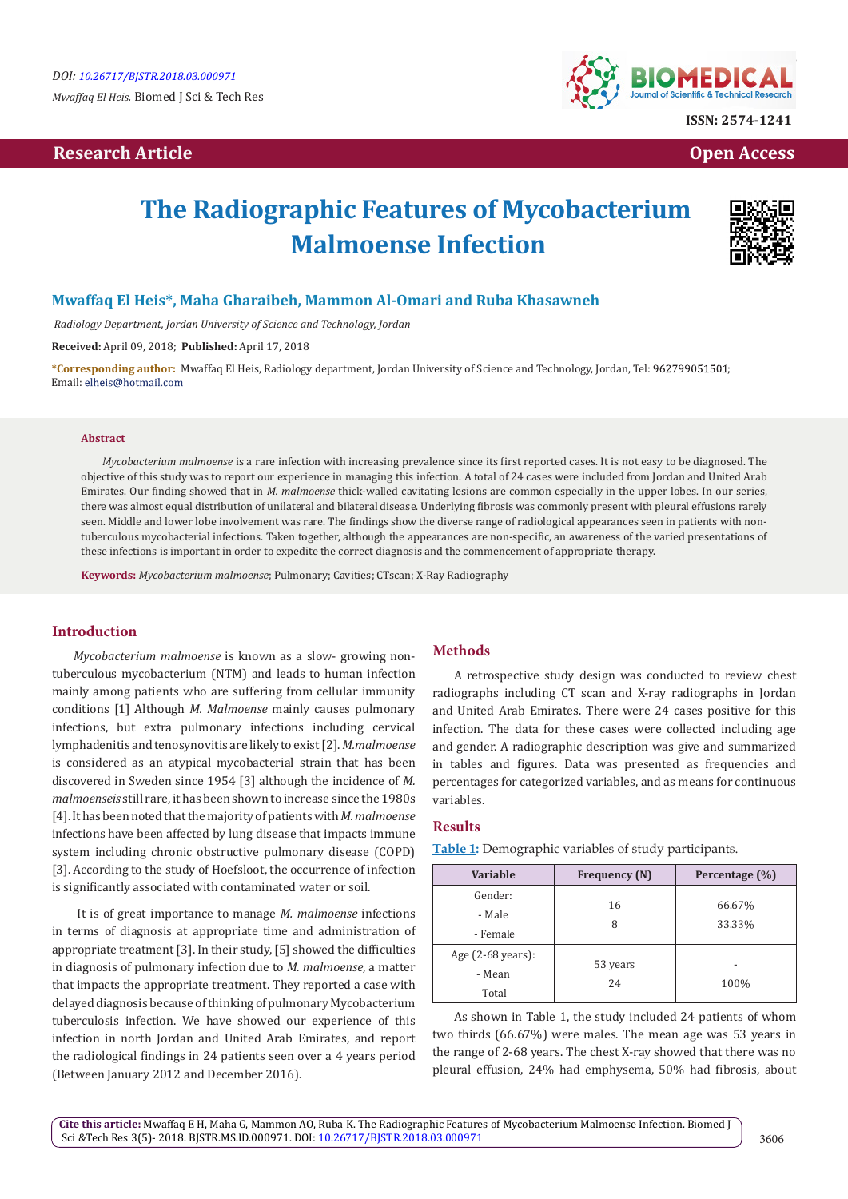# **Research Article Community Community Community Community Community Community Community Community Community Community Community Community Community Community Community Community Community Community Community Community Com**



# **The Radiographic Features of Mycobacterium Malmoense Infection**



### **Mwaffaq El Heis\*, Maha Gharaibeh, Mammon Al-Omari and Ruba Khasawneh**

 *Radiology Department, Jordan University of Science and Technology, Jordan* 

**Received:** April 09, 2018; **Published:** April 17, 2018

**\*Corresponding author:** Mwaffaq El Heis, Radiology department, Jordan University of Science and Technology, Jordan, Tel: ; Email: elheis@hotmail.com

#### **Abstract**

*Mycobacterium malmoense* is a rare infection with increasing prevalence since its first reported cases. It is not easy to be diagnosed. The objective of this study was to report our experience in managing this infection. A total of 24 cases were included from Jordan and United Arab Emirates. Our finding showed that in *M. malmoense* thick-walled cavitating lesions are common especially in the upper lobes. In our series, there was almost equal distribution of unilateral and bilateral disease. Underlying fibrosis was commonly present with pleural effusions rarely seen. Middle and lower lobe involvement was rare. The findings show the diverse range of radiological appearances seen in patients with nontuberculous mycobacterial infections. Taken together, although the appearances are non-specific, an awareness of the varied presentations of these infections is important in order to expedite the correct diagnosis and the commencement of appropriate therapy.

**Keywords:** *Mycobacterium malmoense*; Pulmonary; Cavities; CTscan; X-Ray Radiography

#### **Introduction**

*Mycobacterium malmoense* is known as a slow- growing nontuberculous mycobacterium (NTM) and leads to human infection mainly among patients who are suffering from cellular immunity conditions [1] Although *M. Malmoense* mainly causes pulmonary infections, but extra pulmonary infections including cervical lymphadenitis and tenosynovitis are likely to exist [2]. *M.malmoense* is considered as an atypical mycobacterial strain that has been discovered in Sweden since 1954 [3] although the incidence of *M. malmoenseis* still rare, it has been shown to increase since the 1980s [4]. It has been noted that the majority of patients with *M. malmoense*  infections have been affected by lung disease that impacts immune system including chronic obstructive pulmonary disease (COPD) [3]. According to the study of Hoefsloot, the occurrence of infection is significantly associated with contaminated water or soil.

 It is of great importance to manage *M. malmoense* infections in terms of diagnosis at appropriate time and administration of appropriate treatment [3]. In their study, [5] showed the difficulties in diagnosis of pulmonary infection due to *M. malmoense*, a matter that impacts the appropriate treatment. They reported a case with delayed diagnosis because of thinking of pulmonary Mycobacterium tuberculosis infection. We have showed our experience of this infection in north Jordan and United Arab Emirates, and report the radiological findings in 24 patients seen over a 4 years period (Between January 2012 and December 2016).

#### **Methods**

A retrospective study design was conducted to review chest radiographs including CT scan and X-ray radiographs in Jordan and United Arab Emirates. There were 24 cases positive for this infection. The data for these cases were collected including age and gender. A radiographic description was give and summarized in tables and figures. Data was presented as frequencies and percentages for categorized variables, and as means for continuous variables.

#### **Results**

| <b>Variable</b>                                 | <b>Frequency (N)</b> | Percentage (%)   |
|-------------------------------------------------|----------------------|------------------|
| Gender:<br>- Male<br>- Female                   | 16<br>8              | 66.67%<br>33.33% |
| Age $(2-68 \text{ years})$ :<br>- Mean<br>Total | 53 years<br>24       | 100%             |

**Table 1:** Demographic variables of study participants.

As shown in Table 1, the study included 24 patients of whom two thirds (66.67%) were males. The mean age was 53 years in the range of 2-68 years. The chest X-ray showed that there was no pleural effusion, 24% had emphysema, 50% had fibrosis, about

**Cite this article:** Mwaffaq E H, Maha G, Mammon AO, Ruba K. The Radiographic Features of Mycobacterium Malmoense Infection. Biomed J Sci &Tech Res 3(5)- 2018. BJSTR.MS.ID.000971. DOI: [10.26717/BJSTR.2018.03.000971](http://dx.doi.org/10.26717/BJSTR.2018.03.000971)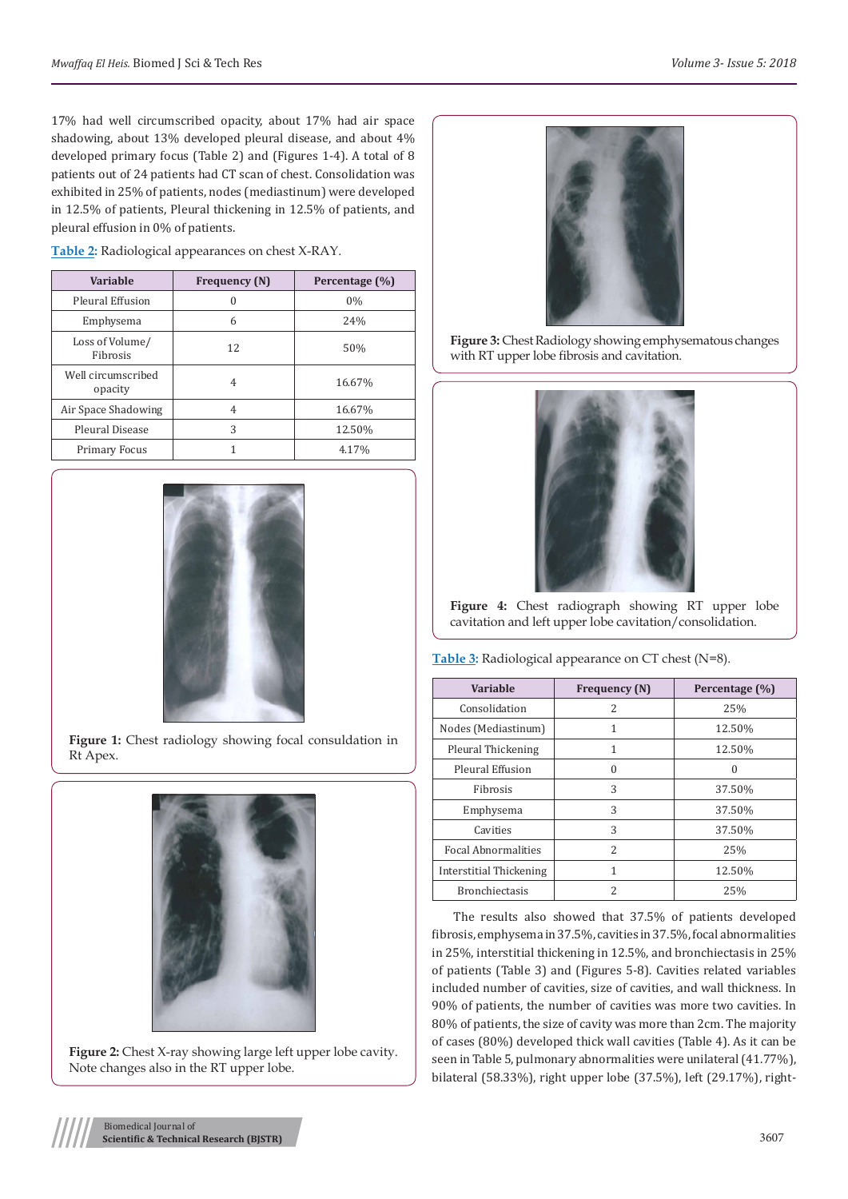17% had well circumscribed opacity, about 17% had air space shadowing, about 13% developed pleural disease, and about 4% developed primary focus (Table 2) and (Figures 1-4). A total of 8 patients out of 24 patients had CT scan of chest. Consolidation was exhibited in 25% of patients, nodes (mediastinum) were developed in 12.5% of patients, Pleural thickening in 12.5% of patients, and pleural effusion in 0% of patients.

**Table 2:** Radiological appearances on chest X-RAY.

| <b>Variable</b>               | <b>Frequency</b> (N) | Percentage (%) |
|-------------------------------|----------------------|----------------|
| Pleural Effusion              | $\Omega$             | 0%             |
| Emphysema                     | 6                    | 24%            |
| Loss of Volume/<br>Fibrosis   | 12                   | 50%            |
| Well circumscribed<br>opacity | 4                    | 16.67%         |
| Air Space Shadowing           | 4                    | 16.67%         |
| Pleural Disease               | 3                    | 12.50%         |
| <b>Primary Focus</b>          |                      | 4.17%          |



**Figure 1:** Chest radiology showing focal consuldation in Rt Apex.



**Figure 2:** Chest X-ray showing large left upper lobe cavity. Note changes also in the RT upper lobe.



**Figure 3:** Chest Radiology showing emphysematous changes with RT upper lobe fibrosis and cavitation.



**Figure 4:** Chest radiograph showing RT upper lobe cavitation and left upper lobe cavitation/consolidation.

**Table 3:** Radiological appearance on CT chest (N=8).

| <b>Variable</b>            | <b>Frequency</b> (N) | Percentage (%) |
|----------------------------|----------------------|----------------|
| Consolidation              | $\mathcal{L}$        | 25%            |
| Nodes (Mediastinum)        | 1                    | 12.50%         |
| Pleural Thickening         | 1                    | 12.50%         |
| Pleural Effusion           | $\Omega$             | $\Omega$       |
| Fibrosis                   | 3                    | 37.50%         |
| Emphysema                  | 3                    | 37.50%         |
| Cavities                   | 3                    | 37.50%         |
| <b>Focal Abnormalities</b> | 2                    | 25%            |
| Interstitial Thickening    | 1                    | 12.50%         |
| <b>Bronchiectasis</b>      | 2                    | 25%            |

The results also showed that 37.5% of patients developed fibrosis, emphysema in 37.5%, cavities in 37.5%, focal abnormalities in 25%, interstitial thickening in 12.5%, and bronchiectasis in 25% of patients (Table 3) and (Figures 5-8). Cavities related variables included number of cavities, size of cavities, and wall thickness. In 90% of patients, the number of cavities was more two cavities. In 80% of patients, the size of cavity was more than 2cm. The majority of cases (80%) developed thick wall cavities (Table 4). As it can be seen in Table 5, pulmonary abnormalities were unilateral (41.77%), bilateral (58.33%), right upper lobe (37.5%), left (29.17%), right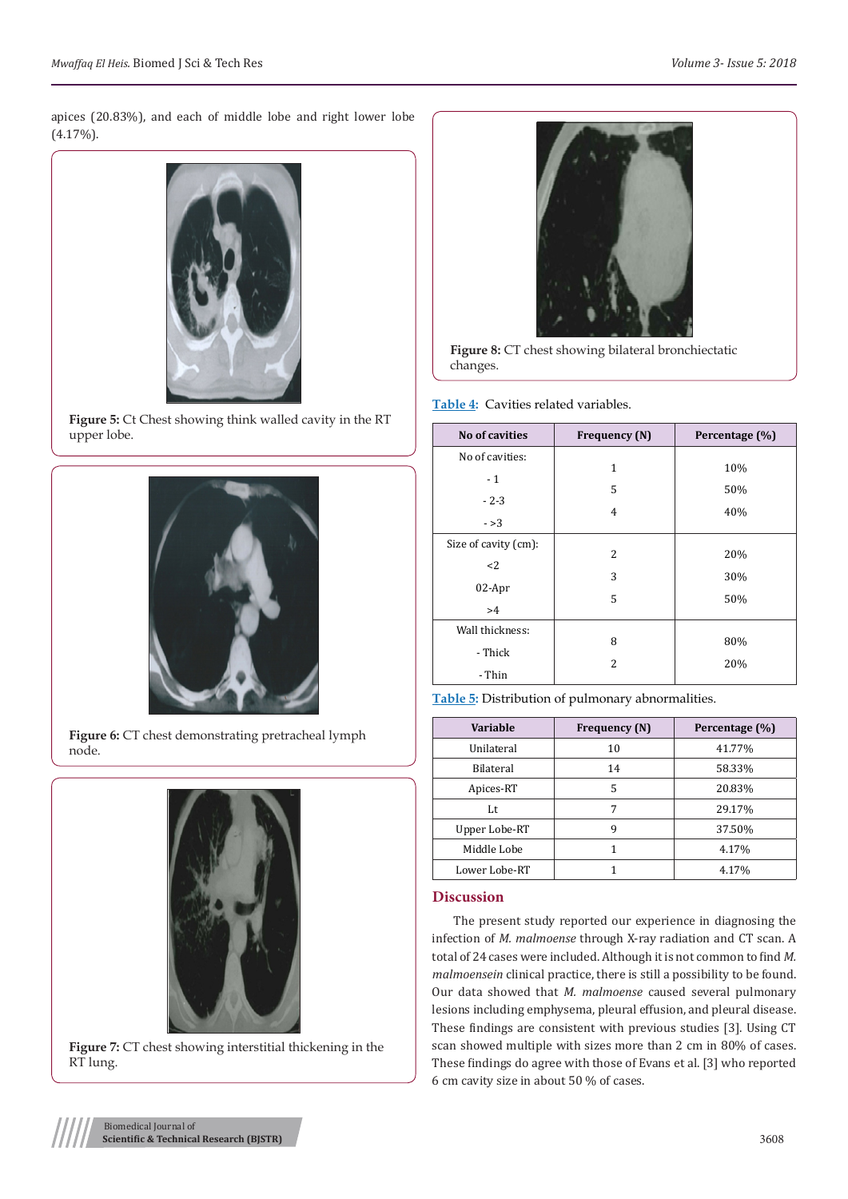apices (20.83%), and each of middle lobe and right lower lobe  $(4.17\%)$ .



**Figure 5:** Ct Chest showing think walled cavity in the RT upper lobe.



Figure 6: CT chest demonstrating pretracheal lymph node.



**Figure 7:** CT chest showing interstitial thickening in the RT lung.



**Figure 8:** CT chest showing bilateral bronchiectatic changes.

**Table 4:** Cavities related variables.

| No of cavities       | Frequency (N)  | Percentage (%) |
|----------------------|----------------|----------------|
| No of cavities:      |                |                |
| $-1$                 | 1              | 10%            |
|                      | 5              | 50%            |
| $-2-3$               | $\overline{4}$ | 40%            |
| $->3$                |                |                |
| Size of cavity (cm): |                |                |
| $2$                  | 2              | 20%            |
|                      | 3              | 30%            |
| 02-Apr               | 5              | 50%            |
| >4                   |                |                |
| Wall thickness:      |                |                |
| - Thick              | 8              | 80%            |
|                      | 2              | 20%            |
| - Thin               |                |                |



| Variable         | Frequency (N) | Percentage (%) |
|------------------|---------------|----------------|
| Unilateral       | 10            | 41.77%         |
| <b>Bilateral</b> | 14            | 58.33%         |
| Apices-RT        | 5             | 20.83%         |
| Lt               | 7             | 29.17%         |
| Upper Lobe-RT    | 9             | 37.50%         |
| Middle Lobe      |               | 4.17%          |
| Lower Lobe-RT    |               | 4.17%          |

## **Discussion**

The present study reported our experience in diagnosing the infection of *M. malmoense* through X-ray radiation and CT scan. A total of 24 cases were included. Although it is not common to find *M. malmoensein* clinical practice, there is still a possibility to be found. Our data showed that *M. malmoense* caused several pulmonary lesions including emphysema, pleural effusion, and pleural disease. These findings are consistent with previous studies [3]. Using CT scan showed multiple with sizes more than 2 cm in 80% of cases. These findings do agree with those of Evans et al. [3] who reported 6 cm cavity size in about 50 % of cases.